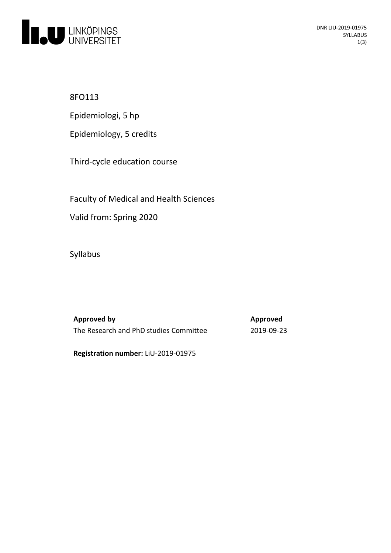

8FO113

Epidemiologi, 5 hp

Epidemiology, 5 credits

Third-cycle education course

Faculty of Medical and Health Sciences

Valid from: Spring 2020

Syllabus

**Approved by Approved** The Research and PhD studies Committee 2019-09-23

**Registration number:** LiU-2019-01975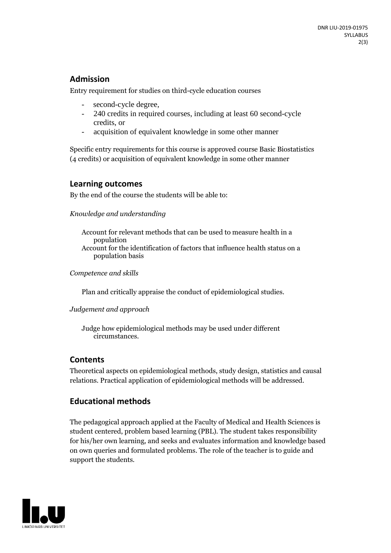### **Admission**

Entry requirement for studies on third-cycle education courses

- second-cycle degree,
- 240 credits in required courses, including at least 60 second-cycle credits, or
- acquisition of equivalent knowledge in some other manner

Specific entry requirements for this course is approved course Basic Biostatistics (4 credits) or acquisition of equivalent knowledge in some other manner

#### **Learning outcomes**

By the end of the course the students will be able to:

*Knowledge and understanding*

Account for relevant methods that can be used to measure health in a population Account for the identification of factors that influence health status on a population basis

*Competence and skills*

Plan and critically appraise the conduct of epidemiological studies.

#### *Judgement and approach*

Judge how epidemiological methods may be used under different circumstances.

### **Contents**

Theoretical aspects on epidemiological methods, study design, statistics and causal relations. Practical application of epidemiological methods will be addressed*.* 

## **Educational methods**

The pedagogical approach applied at the Faculty of Medical and Health Sciences is student centered, problem based learning (PBL). The student takes responsibility for his/her own learning, and seeks and evaluates information and knowledge based on own queries and formulated problems. The role of the teacher is to guide and support the students.